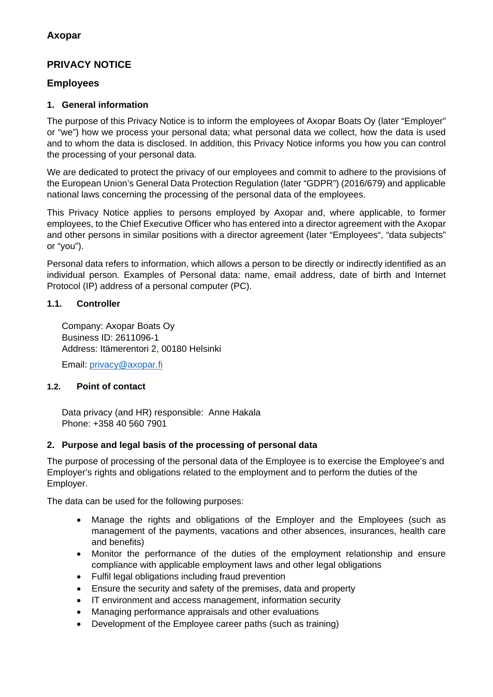# **PRIVACY NOTICE**

## **Employees**

### **1. General information**

The purpose of this Privacy Notice is to inform the employees of Axopar Boats Oy (later "Employer" or "we") how we process your personal data; what personal data we collect, how the data is used and to whom the data is disclosed. In addition, this Privacy Notice informs you how you can control the processing of your personal data.

We are dedicated to protect the privacy of our employees and commit to adhere to the provisions of the European Union's General Data Protection Regulation (later "GDPR") (2016/679) and applicable national laws concerning the processing of the personal data of the employees.

This Privacy Notice applies to persons employed by Axopar and, where applicable, to former employees, to the Chief Executive Officer who has entered into a director agreement with the Axopar and other persons in similar positions with a director agreement (later "Employees", "data subjects" or "you").

Personal data refers to information, which allows a person to be directly or indirectly identified as an individual person. Examples of Personal data: name, email address, date of birth and Internet Protocol (IP) address of a personal computer (PC).

## **1.1. Controller**

Company: Axopar Boats Oy Business ID: 2611096-1 Address: Itämerentori 2, 00180 Helsinki

Email: privacy@axopar.fi

## **1.2. Point of contact**

Data privacy (and HR) responsible: Anne Hakala Phone: +358 40 560 7901

## **2. Purpose and legal basis of the processing of personal data**

The purpose of processing of the personal data of the Employee is to exercise the Employee's and Employer's rights and obligations related to the employment and to perform the duties of the Employer.

The data can be used for the following purposes:

- Manage the rights and obligations of the Employer and the Employees (such as management of the payments, vacations and other absences, insurances, health care and benefits)
- Monitor the performance of the duties of the employment relationship and ensure compliance with applicable employment laws and other legal obligations
- Fulfil legal obligations including fraud prevention
- Ensure the security and safety of the premises, data and property
- IT environment and access management, information security
- Managing performance appraisals and other evaluations
- Development of the Employee career paths (such as training)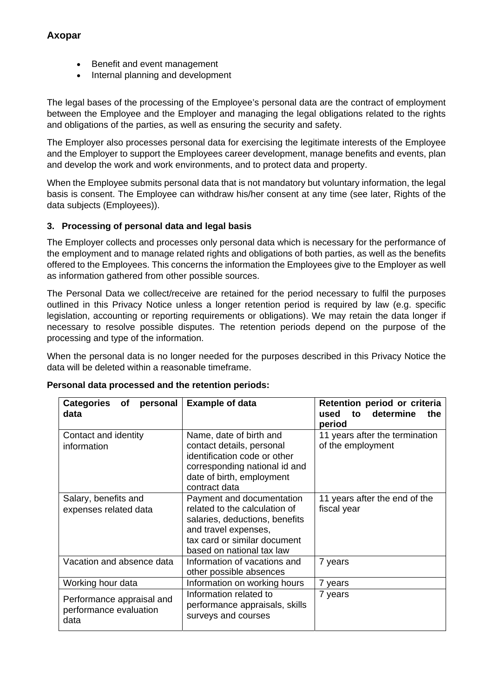- Benefit and event management
- Internal planning and development

The legal bases of the processing of the Employee's personal data are the contract of employment between the Employee and the Employer and managing the legal obligations related to the rights and obligations of the parties, as well as ensuring the security and safety.

The Employer also processes personal data for exercising the legitimate interests of the Employee and the Employer to support the Employees career development, manage benefits and events, plan and develop the work and work environments, and to protect data and property.

When the Employee submits personal data that is not mandatory but voluntary information, the legal basis is consent. The Employee can withdraw his/her consent at any time (see later, Rights of the data subjects (Employees)).

### **3. Processing of personal data and legal basis**

The Employer collects and processes only personal data which is necessary for the performance of the employment and to manage related rights and obligations of both parties, as well as the benefits offered to the Employees. This concerns the information the Employees give to the Employer as well as information gathered from other possible sources.

The Personal Data we collect/receive are retained for the period necessary to fulfil the purposes outlined in this Privacy Notice unless a longer retention period is required by law (e.g. specific legislation, accounting or reporting requirements or obligations). We may retain the data longer if necessary to resolve possible disputes. The retention periods depend on the purpose of the processing and type of the information.

When the personal data is no longer needed for the purposes described in this Privacy Notice the data will be deleted within a reasonable timeframe.

| <b>Categories</b><br>of<br>personal<br>data                 | <b>Example of data</b>                                                                                                                                                            | Retention period or criteria<br>to determine<br>used<br>the<br>period |
|-------------------------------------------------------------|-----------------------------------------------------------------------------------------------------------------------------------------------------------------------------------|-----------------------------------------------------------------------|
| Contact and identity<br>information                         | Name, date of birth and<br>contact details, personal<br>identification code or other<br>corresponding national id and<br>date of birth, employment<br>contract data               | 11 years after the termination<br>of the employment                   |
| Salary, benefits and<br>expenses related data               | Payment and documentation<br>related to the calculation of<br>salaries, deductions, benefits<br>and travel expenses,<br>tax card or similar document<br>based on national tax law | 11 years after the end of the<br>fiscal year                          |
| Vacation and absence data                                   | Information of vacations and<br>other possible absences                                                                                                                           | 7 years                                                               |
| Working hour data                                           | Information on working hours                                                                                                                                                      | 7 years                                                               |
| Performance appraisal and<br>performance evaluation<br>data | Information related to<br>performance appraisals, skills<br>surveys and courses                                                                                                   | 7 years                                                               |

### **Personal data processed and the retention periods:**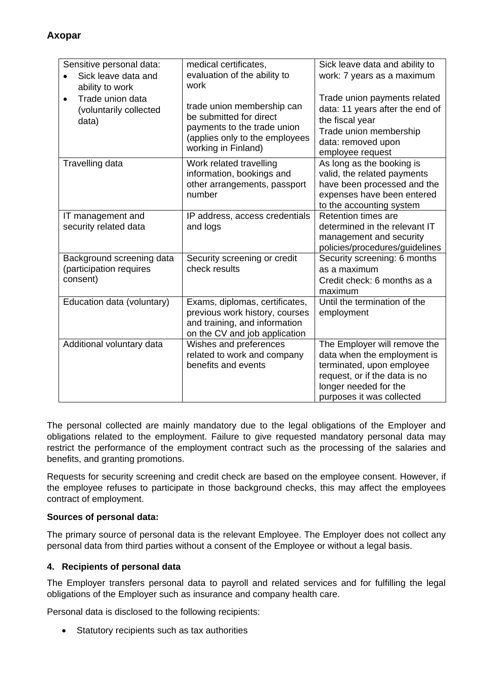| Sensitive personal data:<br>Sick leave data and<br>ability to work | medical certificates,<br>evaluation of the ability to<br>work                                                                                 | Sick leave data and ability to<br>work: 7 years as a maximum                                                                                                                    |
|--------------------------------------------------------------------|-----------------------------------------------------------------------------------------------------------------------------------------------|---------------------------------------------------------------------------------------------------------------------------------------------------------------------------------|
| Trade union data<br>$\bullet$<br>(voluntarily collected<br>data)   | trade union membership can<br>be submitted for direct<br>payments to the trade union<br>(applies only to the employees<br>working in Finland) | Trade union payments related<br>data: 11 years after the end of<br>the fiscal year<br>Trade union membership<br>data: removed upon<br>employee request                          |
| Travelling data                                                    | Work related travelling<br>information, bookings and<br>other arrangements, passport<br>number                                                | As long as the booking is<br>valid, the related payments<br>have been processed and the<br>expenses have been entered<br>to the accounting system                               |
| IT management and<br>security related data                         | IP address, access credentials<br>and logs                                                                                                    | Retention times are<br>determined in the relevant IT<br>management and security<br>policies/procedures/guidelines                                                               |
| Background screening data<br>(participation requires<br>consent)   | Security screening or credit<br>check results                                                                                                 | Security screening: 6 months<br>as a maximum<br>Credit check: 6 months as a<br>maximum                                                                                          |
| Education data (voluntary)                                         | Exams, diplomas, certificates,<br>previous work history, courses<br>and training, and information<br>on the CV and job application            | Until the termination of the<br>employment                                                                                                                                      |
| Additional voluntary data                                          | Wishes and preferences<br>related to work and company<br>benefits and events                                                                  | The Employer will remove the<br>data when the employment is<br>terminated, upon employee<br>request, or if the data is no<br>longer needed for the<br>purposes it was collected |

The personal collected are mainly mandatory due to the legal obligations of the Employer and obligations related to the employment. Failure to give requested mandatory personal data may restrict the performance of the employment contract such as the processing of the salaries and benefits, and granting promotions.

Requests for security screening and credit check are based on the employee consent. However, if the employee refuses to participate in those background checks, this may affect the employees contract of employment.

### **Sources of personal data:**

The primary source of personal data is the relevant Employee. The Employer does not collect any personal data from third parties without a consent of the Employee or without a legal basis.

### **4. Recipients of personal data**

The Employer transfers personal data to payroll and related services and for fulfilling the legal obligations of the Employer such as insurance and company health care.

Personal data is disclosed to the following recipients:

• Statutory recipients such as tax authorities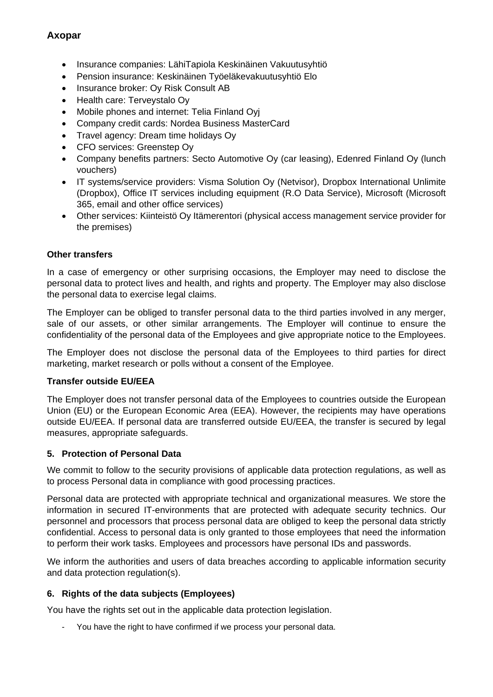## **Axopar**

- Insurance companies: LähiTapiola Keskinäinen Vakuutusyhtiö
- Pension insurance: Keskinäinen Työeläkevakuutusyhtiö Elo
- Insurance broker: Oy Risk Consult AB
- Health care: Terveystalo Oy
- Mobile phones and internet: Telia Finland Oyj
- Company credit cards: Nordea Business MasterCard
- Travel agency: Dream time holidays Oy
- CFO services: Greenstep Oy
- Company benefits partners: Secto Automotive Oy (car leasing), Edenred Finland Oy (lunch vouchers)
- IT systems/service providers: Visma Solution Oy (Netvisor), Dropbox International Unlimite (Dropbox), Office IT services including equipment (R.O Data Service), Microsoft (Microsoft 365, email and other office services)
- Other services: Kiinteistö Oy Itämerentori (physical access management service provider for the premises)

### **Other transfers**

In a case of emergency or other surprising occasions, the Employer may need to disclose the personal data to protect lives and health, and rights and property. The Employer may also disclose the personal data to exercise legal claims.

The Employer can be obliged to transfer personal data to the third parties involved in any merger, sale of our assets, or other similar arrangements. The Employer will continue to ensure the confidentiality of the personal data of the Employees and give appropriate notice to the Employees.

The Employer does not disclose the personal data of the Employees to third parties for direct marketing, market research or polls without a consent of the Employee.

### **Transfer outside EU/EEA**

The Employer does not transfer personal data of the Employees to countries outside the European Union (EU) or the European Economic Area (EEA). However, the recipients may have operations outside EU/EEA. If personal data are transferred outside EU/EEA, the transfer is secured by legal measures, appropriate safeguards.

### **5. Protection of Personal Data**

We commit to follow to the security provisions of applicable data protection regulations, as well as to process Personal data in compliance with good processing practices.

Personal data are protected with appropriate technical and organizational measures. We store the information in secured IT-environments that are protected with adequate security technics. Our personnel and processors that process personal data are obliged to keep the personal data strictly confidential. Access to personal data is only granted to those employees that need the information to perform their work tasks. Employees and processors have personal IDs and passwords.

We inform the authorities and users of data breaches according to applicable information security and data protection regulation(s).

### **6. Rights of the data subjects (Employees)**

You have the rights set out in the applicable data protection legislation.

You have the right to have confirmed if we process your personal data.